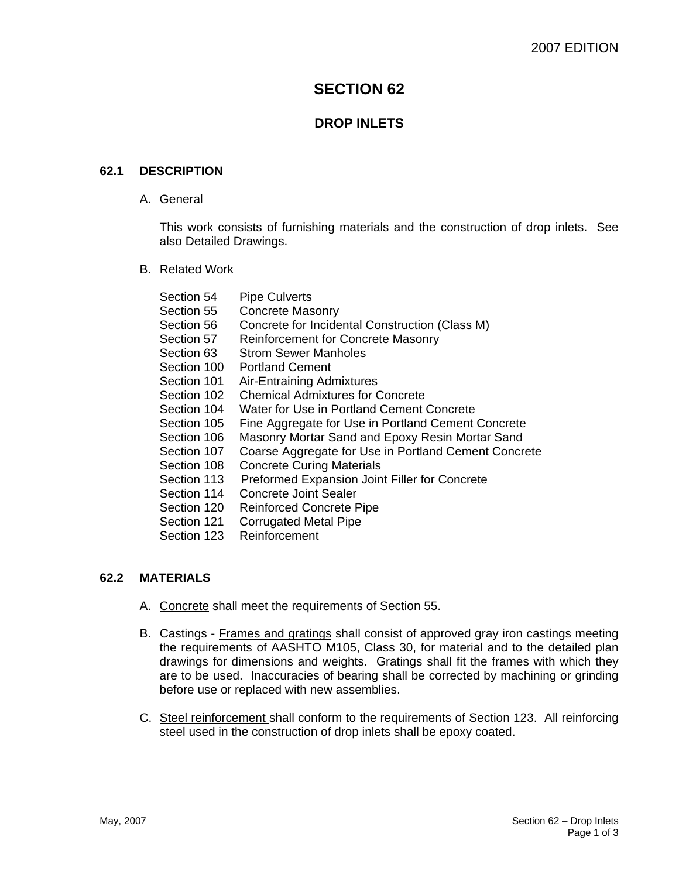# **SECTION 62**

# **DROP INLETS**

## **62.1 DESCRIPTION**

A. General

This work consists of furnishing materials and the construction of drop inlets. See also Detailed Drawings.

B. Related Work

| Section 54  | <b>Pipe Culverts</b>                                 |
|-------------|------------------------------------------------------|
| Section 55  | <b>Concrete Masonry</b>                              |
| Section 56. | Concrete for Incidental Construction (Class M)       |
| Section 57  | <b>Reinforcement for Concrete Masonry</b>            |
| Section 63  | <b>Strom Sewer Manholes</b>                          |
| Section 100 | <b>Portland Cement</b>                               |
| Section 101 | Air-Entraining Admixtures                            |
| Section 102 | <b>Chemical Admixtures for Concrete</b>              |
| Section 104 | Water for Use in Portland Cement Concrete            |
| Section 105 | Fine Aggregate for Use in Portland Cement Concrete   |
| Section 106 | Masonry Mortar Sand and Epoxy Resin Mortar Sand      |
| Section 107 | Coarse Aggregate for Use in Portland Cement Concrete |
| Section 108 | <b>Concrete Curing Materials</b>                     |
| Section 113 | Preformed Expansion Joint Filler for Concrete        |
| Section 114 | <b>Concrete Joint Sealer</b>                         |
| Section 120 | <b>Reinforced Concrete Pipe</b>                      |
| Section 121 | <b>Corrugated Metal Pipe</b>                         |
| Section 123 | Reinforcement                                        |
|             |                                                      |

#### **62.2 MATERIALS**

- A. Concrete shall meet the requirements of Section 55.
- B. Castings Frames and gratings shall consist of approved gray iron castings meeting the requirements of AASHTO M105, Class 30, for material and to the detailed plan drawings for dimensions and weights. Gratings shall fit the frames with which they are to be used. Inaccuracies of bearing shall be corrected by machining or grinding before use or replaced with new assemblies.
- C. Steel reinforcement shall conform to the requirements of Section 123. All reinforcing steel used in the construction of drop inlets shall be epoxy coated.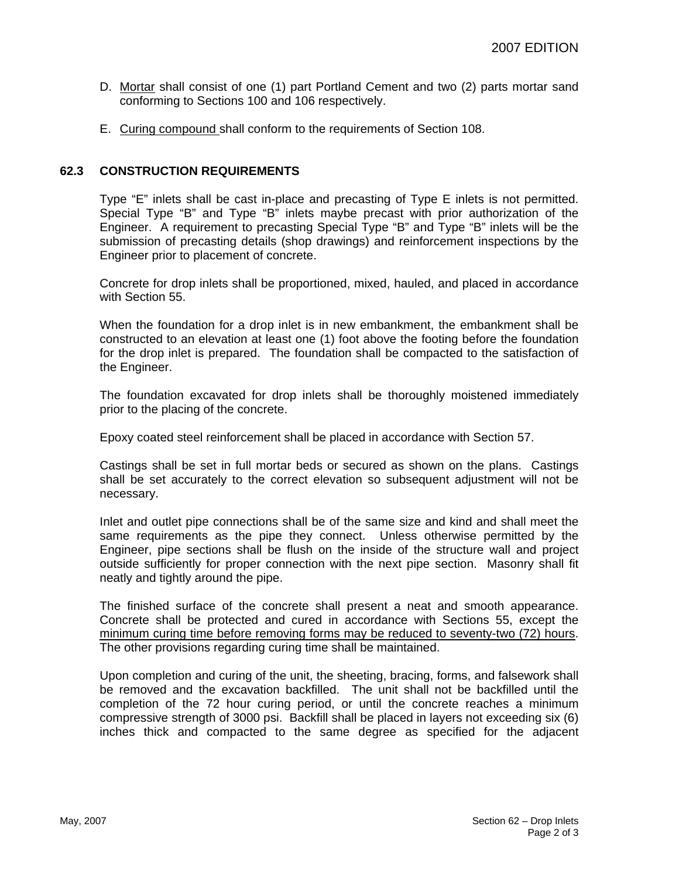- D. Mortar shall consist of one (1) part Portland Cement and two (2) parts mortar sand conforming to Sections 100 and 106 respectively.
- E. Curing compound shall conform to the requirements of Section 108.

## **62.3 CONSTRUCTION REQUIREMENTS**

Type "E" inlets shall be cast in-place and precasting of Type E inlets is not permitted. Special Type "B" and Type "B" inlets maybe precast with prior authorization of the Engineer. A requirement to precasting Special Type "B" and Type "B" inlets will be the submission of precasting details (shop drawings) and reinforcement inspections by the Engineer prior to placement of concrete.

Concrete for drop inlets shall be proportioned, mixed, hauled, and placed in accordance with Section 55.

When the foundation for a drop inlet is in new embankment, the embankment shall be constructed to an elevation at least one (1) foot above the footing before the foundation for the drop inlet is prepared. The foundation shall be compacted to the satisfaction of the Engineer.

The foundation excavated for drop inlets shall be thoroughly moistened immediately prior to the placing of the concrete.

Epoxy coated steel reinforcement shall be placed in accordance with Section 57.

Castings shall be set in full mortar beds or secured as shown on the plans. Castings shall be set accurately to the correct elevation so subsequent adjustment will not be necessary.

Inlet and outlet pipe connections shall be of the same size and kind and shall meet the same requirements as the pipe they connect. Unless otherwise permitted by the Engineer, pipe sections shall be flush on the inside of the structure wall and project outside sufficiently for proper connection with the next pipe section. Masonry shall fit neatly and tightly around the pipe.

The finished surface of the concrete shall present a neat and smooth appearance. Concrete shall be protected and cured in accordance with Sections 55, except the minimum curing time before removing forms may be reduced to seventy-two (72) hours. The other provisions regarding curing time shall be maintained.

Upon completion and curing of the unit, the sheeting, bracing, forms, and falsework shall be removed and the excavation backfilled. The unit shall not be backfilled until the completion of the 72 hour curing period, or until the concrete reaches a minimum compressive strength of 3000 psi. Backfill shall be placed in layers not exceeding six (6) inches thick and compacted to the same degree as specified for the adjacent